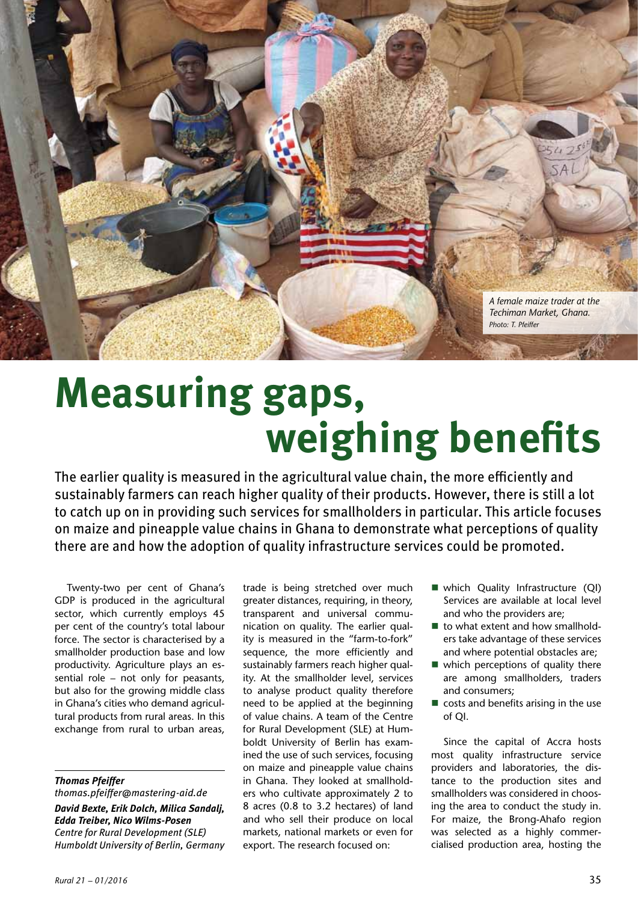

# **Measuring gaps, weighing benefits**

The earlier quality is measured in the agricultural value chain, the more efficiently and sustainably farmers can reach higher quality of their products. However, there is still a lot to catch up on in providing such services for smallholders in particular. This article focuses on maize and pineapple value chains in Ghana to demonstrate what perceptions of quality there are and how the adoption of quality infrastructure services could be promoted.

Twenty-two per cent of Ghana's GDP is produced in the agricultural sector, which currently employs 45 per cent of the country's total labour force. The sector is characterised by a smallholder production base and low productivity. Agriculture plays an essential role – not only for peasants, but also for the growing middle class in Ghana's cities who demand agricultural products from rural areas. In this exchange from rural to urban areas,

#### *Thomas Pfeiffer*

*thomas.pfeiffer@mastering-aid.de David Bexte, Erik Dolch, Milica Sandalj, Edda Treiber, Nico Wilms-Posen Centre for Rural Development (SLE) Humboldt University of Berlin, Germany* trade is being stretched over much greater distances, requiring, in theory, transparent and universal communication on quality. The earlier quality is measured in the "farm-to-fork" sequence, the more efficiently and sustainably farmers reach higher quality. At the smallholder level, services to analyse product quality therefore need to be applied at the beginning of value chains. A team of the Centre for Rural Development (SLE) at Humboldt University of Berlin has examined the use of such services, focusing on maize and pineapple value chains in Ghana. They looked at smallholders who cultivate approximately 2 to 8 acres (0.8 to 3.2 hectares) of land and who sell their produce on local markets, national markets or even for export. The research focused on:

- which Quality Infrastructure (QI) Services are available at local level and who the providers are;
- to what extent and how smallholders take advantage of these services and where potential obstacles are;
- $\blacksquare$  which perceptions of quality there are among smallholders, traders and consumers;
- $\blacksquare$  costs and benefits arising in the use of QI.

Since the capital of Accra hosts most quality infrastructure service providers and laboratories, the distance to the production sites and smallholders was considered in choosing the area to conduct the study in. For maize, the Brong-Ahafo region was selected as a highly commercialised production area, hosting the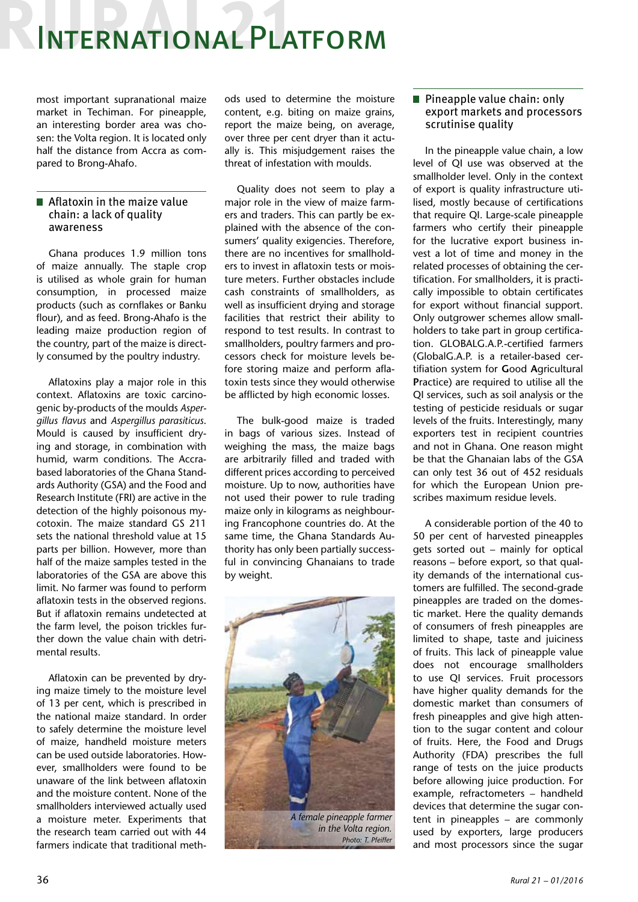## International Platform

most important supranational maize market in Techiman. For pineapple, an interesting border area was chosen: the Volta region. It is located only half the distance from Accra as compared to Brong-Ahafo.

#### **Aflatoxin in the maize value** chain: a lack of quality awareness

Ghana produces 1.9 million tons of maize annually. The staple crop is utilised as whole grain for human consumption, in processed maize products (such as cornflakes or Banku flour), and as feed. Brong-Ahafo is the leading maize production region of the country, part of the maize is directly consumed by the poultry industry.

Aflatoxins play a major role in this context. Aflatoxins are toxic carcinogenic by-products of the moulds *Aspergillus flavus* and *Aspergillus parasiticus*. Mould is caused by insufficient drying and storage, in combination with humid, warm conditions. The Accrabased laboratories of the Ghana Standards Authority (GSA) and the Food and Research Institute (FRI) are active in the detection of the highly poisonous mycotoxin. The maize standard GS 211 sets the national threshold value at 15 parts per billion. However, more than half of the maize samples tested in the laboratories of the GSA are above this limit. No farmer was found to perform aflatoxin tests in the observed regions. But if aflatoxin remains undetected at the farm level, the poison trickles further down the value chain with detrimental results.

Aflatoxin can be prevented by drying maize timely to the moisture level of 13 per cent, which is prescribed in the national maize standard. In order to safely determine the moisture level of maize, handheld moisture meters can be used outside laboratories. However, smallholders were found to be unaware of the link between aflatoxin and the moisture content. None of the smallholders interviewed actually used a moisture meter. Experiments that the research team carried out with 44 farmers indicate that traditional meth-

ods used to determine the moisture content, e.g. biting on maize grains, report the maize being, on average, over three per cent dryer than it actually is. This misjudgement raises the threat of infestation with moulds.

Quality does not seem to play a major role in the view of maize farmers and traders. This can partly be explained with the absence of the consumers' quality exigencies. Therefore, there are no incentives for smallholders to invest in aflatoxin tests or moisture meters. Further obstacles include cash constraints of smallholders, as well as insufficient drying and storage facilities that restrict their ability to respond to test results. In contrast to smallholders, poultry farmers and processors check for moisture levels before storing maize and perform aflatoxin tests since they would otherwise be afflicted by high economic losses.

The bulk-good maize is traded in bags of various sizes. Instead of weighing the mass, the maize bags are arbitrarily filled and traded with different prices according to perceived moisture. Up to now, authorities have not used their power to rule trading maize only in kilograms as neighbouring Francophone countries do. At the same time, the Ghana Standards Authority has only been partially successful in convincing Ghanaians to trade by weight.



*Photo: T. Pfeiffer*

#### **Pineapple value chain: only** export markets and processors scrutinise quality

In the pineapple value chain, a low level of QI use was observed at the smallholder level. Only in the context of export is quality infrastructure utilised, mostly because of certifications that require QI. Large-scale pineapple farmers who certify their pineapple for the lucrative export business invest a lot of time and money in the related processes of obtaining the certification. For smallholders, it is practically impossible to obtain certificates for export without financial support. Only outgrower schemes allow smallholders to take part in group certification. GLOBALG.A.P.-certified farmers (GlobalG.A.P. is a retailer-based certifiation system for **G**ood **A**gricultural **P**ractice) are required to utilise all the QI services, such as soil analysis or the testing of pesticide residuals or sugar levels of the fruits. Interestingly, many exporters test in recipient countries and not in Ghana. One reason might be that the Ghanaian labs of the GSA can only test 36 out of 452 residuals for which the European Union prescribes maximum residue levels.

A considerable portion of the 40 to 50 per cent of harvested pineapples gets sorted out – mainly for optical reasons – before export, so that quality demands of the international customers are fulfilled. The second-grade pineapples are traded on the domestic market. Here the quality demands of consumers of fresh pineapples are limited to shape, taste and juiciness of fruits. This lack of pineapple value does not encourage smallholders to use QI services. Fruit processors have higher quality demands for the domestic market than consumers of fresh pineapples and give high attention to the sugar content and colour of fruits. Here, the Food and Drugs Authority (FDA) prescribes the full range of tests on the juice products before allowing juice production. For example, refractometers – handheld devices that determine the sugar content in pineapples – are commonly used by exporters, large producers and most processors since the sugar